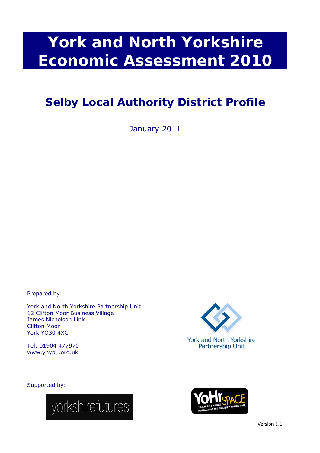# **York and North Yorkshire Economic Assessment 2010**

# **Selby Local Authority District Profile**

January 2011

Prepared by:

York and North Yorkshire Partnership Unit 12 Clifton Moor Business Village James Nicholson Link Clifton Moor York YO30 4XG

Tel: 01904 477970 www.ynypu.org.uk

**York and North Yorkshire Partnership Unit** 

Supported by:



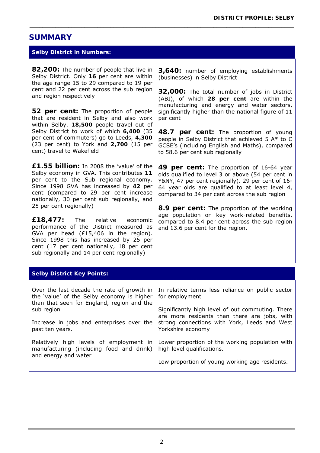# **SUMMARY**

#### **Selby District** *in Numbers***:**

**82,200:** The number of people that live in Selby District. Only **16** per cent are within the age range 15 to 29 compared to 19 per cent and 22 per cent across the sub region and region respectively

**52 per cent:** The proportion of people that are resident in Selby and also work within Selby. **18,500** people travel out of Selby District to work of which **6,400** (35 per cent of commuters) go to Leeds, **4,300** (23 per cent) to York and **2,700** (15 per cent) travel to Wakefield

**£1.55 billion:** In 2008 the 'value' of the Selby economy in GVA. This contributes **11**  per cent to the Sub regional economy. Since 1998 GVA has increased by **42** per cent (compared to 29 per cent increase nationally, 30 per cent sub regionally, and 25 per cent regionally)

**£18,477:** The relative economic performance of the District measured as GVA per head (£15,406 in the region). Since 1998 this has increased by 25 per cent (17 per cent nationally, 18 per cent sub regionally and 14 per cent regionally)

**3,640:** number of employing establishments (businesses) in Selby District

\_\_\_\_\_\_\_\_\_\_\_\_\_\_\_\_\_\_\_\_\_\_\_\_\_\_\_\_\_\_\_\_\_\_\_\_\_\_\_\_\_\_\_\_\_\_\_\_\_\_\_\_\_\_\_\_\_\_\_\_\_\_\_\_\_\_\_\_\_\_\_\_\_\_\_\_\_\_\_\_\_\_

**32,000:** The total number of jobs in District (ABI), of which **28 per cent** are within the manufacturing and energy and water sectors, significantly higher than the national figure of 11 per cent

**48.7 per cent:** The proportion of young people in Selby District that achieved 5 A\* to C GCSE's (including English and Maths), compared to 58.6 per cent sub regionally

**49 per cent:** The proportion of 16-64 year olds qualified to level 3 or above (54 per cent in Y&NY, 47 per cent regionally). 29 per cent of 16- 64 year olds are qualified to at least level 4, compared to 34 per cent across the sub region

**8.9 per cent:** The proportion of the working age population on key work-related benefits, compared to 8.4 per cent across the sub region and 13.6 per cent for the region.

#### **Selby District** *Key Points***:**

Over the last decade the rate of growth in the 'value' of the Selby economy is higher than that seen for England, region and the sub region

Increase in jobs and enterprises over the past ten years.

Relatively high levels of employment in manufacturing (including food and drink) and energy and water

In relative terms less reliance on public sector for employment

Significantly high level of out commuting. There are more residents than there are jobs, with strong connections with York, Leeds and West Yorkshire economy

Lower proportion of the working population with high level qualifications.

Low proportion of young working age residents.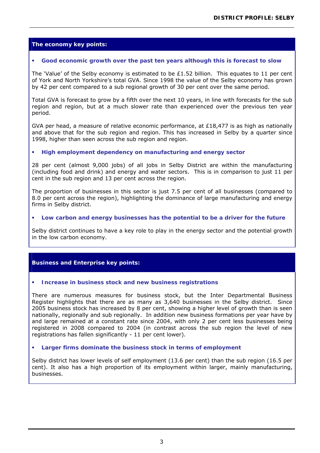## **The economy** *key points***:**

#### **Good economic growth over the past ten years although this is forecast to slow**

The 'Value' of the Selby economy is estimated to be £1.52 billion. This equates to 11 per cent of York and North Yorkshire's total GVA. Since 1998 the value of the Selby economy has grown by 42 per cent compared to a sub regional growth of 30 per cent over the same period.

\_\_\_\_\_\_\_\_\_\_\_\_\_\_\_\_\_\_\_\_\_\_\_\_\_\_\_\_\_\_\_\_\_\_\_\_\_\_\_\_\_\_\_\_\_\_\_\_\_\_\_\_\_\_\_\_\_\_\_\_\_\_\_\_\_\_\_\_\_\_\_\_\_\_\_\_\_\_\_\_\_\_

Total GVA is forecast to grow by a fifth over the next 10 years, in line with forecasts for the sub region and region, but at a much slower rate than experienced over the previous ten year period.

GVA per head, a measure of relative economic performance, at  $£18,477$  is as high as nationally and above that for the sub region and region. This has increased in Selby by a quarter since 1998, higher than seen across the sub region and region.

#### **High employment dependency on manufacturing and energy sector**

28 per cent (almost 9,000 jobs) of all jobs in Selby District are within the manufacturing (including food and drink) and energy and water sectors. This is in comparison to just 11 per cent in the sub region and 13 per cent across the region.

The proportion of businesses in this sector is just 7.5 per cent of all businesses (compared to 8.0 per cent across the region), highlighting the dominance of large manufacturing and energy firms in Selby district.

#### **Low carbon and energy businesses has the potential to be a driver for the future**

Selby district continues to have a key role to play in the energy sector and the potential growth in the low carbon economy.

#### **Business and Enterprise** *key points***:**

#### **Increase in business stock and new business registrations**

There are numerous measures for business stock, but the Inter Departmental Business Register highlights that there are as many as 3,640 businesses in the Selby district. Since 2005 business stock has increased by 8 per cent, showing a higher level of growth than is seen nationally, regionally and sub regionally. In addition new business formations per year have by and large remained at a constant rate since 2004, with only 2 per cent less businesses being registered in 2008 compared to 2004 (in contrast across the sub region the level of new registrations has fallen significantly - 11 per cent lower).

#### **Larger firms dominate the business stock in terms of employment**

Selby district has lower levels of self employment (13.6 per cent) than the sub region (16.5 per cent). It also has a high proportion of its employment within larger, mainly manufacturing, businesses.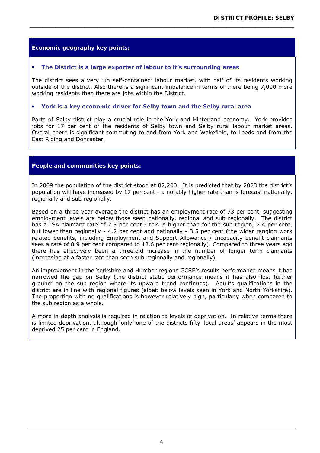#### **Economic geography** *key points***:**

#### **The District is a large exporter of labour to it's surrounding areas**

The district sees a very 'un self-contained' labour market, with half of its residents working outside of the district. Also there is a significant imbalance in terms of there being 7,000 more working residents than there are jobs within the District.

\_\_\_\_\_\_\_\_\_\_\_\_\_\_\_\_\_\_\_\_\_\_\_\_\_\_\_\_\_\_\_\_\_\_\_\_\_\_\_\_\_\_\_\_\_\_\_\_\_\_\_\_\_\_\_\_\_\_\_\_\_\_\_\_\_\_\_\_\_\_\_\_\_\_\_\_\_\_\_\_\_\_

#### **York is a key economic driver for Selby town and the Selby rural area**

Parts of Selby district play a crucial role in the York and Hinterland economy. York provides jobs for 17 per cent of the residents of Selby town and Selby rural labour market areas. Overall there is significant commuting to and from York and Wakefield, to Leeds and from the East Riding and Doncaster.

#### **People and communities** *key points***:**

In 2009 the population of the district stood at 82,200. It is predicted that by 2023 the district's population will have increased by 17 per cent - a notably higher rate than is forecast nationally, regionally and sub regionally.

Based on a three year average the district has an employment rate of 73 per cent, suggesting employment levels are below those seen nationally, regional and sub regionally. The district has a JSA claimant rate of 2.8 per cent - this is higher than for the sub region, 2.4 per cent, but lower than regionally - 4.2 per cent and nationally - 3.5 per cent (the wider ranging work related benefits, including Employment and Support Allowance / Incapacity benefit claimants sees a rate of 8.9 per cent compared to 13.6 per cent regionally). Compared to three years ago there has effectively been a threefold increase in the number of longer term claimants (increasing at a faster rate than seen sub regionally and regionally).

An improvement in the Yorkshire and Humber regions GCSE's results performance means it has narrowed the gap on Selby (the district static performance means it has also 'lost further ground' on the sub region where its upward trend continues). Adult's qualifications in the district are in line with regional figures (albeit below levels seen in York and North Yorkshire). The proportion with no qualifications is however relatively high, particularly when compared to the sub region as a whole.

A more in-depth analysis is required in relation to levels of deprivation. In relative terms there is limited deprivation, although 'only' one of the districts fifty 'local areas' appears in the most deprived 25 per cent in England.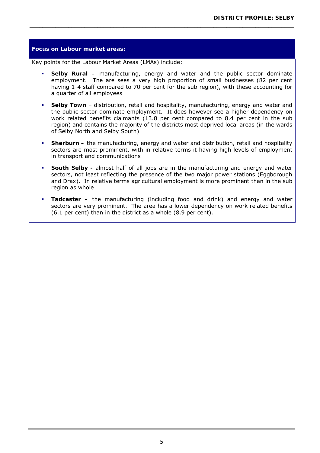# **Focus on Labour market areas:**  Key points for the Labour Market Areas (LMAs) include: **Selby Rural –** manufacturing, energy and water and the public sector dominate employment. The are sees a very high proportion of small businesses (82 per cent having 1-4 staff compared to 70 per cent for the sub region), with these accounting for a quarter of all employees **Selby Town** – distribution, retail and hospitality, manufacturing, energy and water and the public sector dominate employment. It does however see a higher dependency on work related benefits claimants (13.8 per cent compared to 8.4 per cent in the sub region) and contains the majority of the districts most deprived local areas (in the wards of Selby North and Selby South) **Sherburn –** the manufacturing, energy and water and distribution, retail and hospitality sectors are most prominent, with in relative terms it having high levels of employment in transport and communications **South Selby -** almost half of all jobs are in the manufacturing and energy and water sectors, not least reflecting the presence of the two major power stations (Eggborough and Drax). In relative terms agricultural employment is more prominent than in the sub region as whole **Tadcaster –** the manufacturing (including food and drink) and energy and water sectors are very prominent. The area has a lower dependency on work related benefits (6.1 per cent) than in the district as a whole (8.9 per cent).

\_\_\_\_\_\_\_\_\_\_\_\_\_\_\_\_\_\_\_\_\_\_\_\_\_\_\_\_\_\_\_\_\_\_\_\_\_\_\_\_\_\_\_\_\_\_\_\_\_\_\_\_\_\_\_\_\_\_\_\_\_\_\_\_\_\_\_\_\_\_\_\_\_\_\_\_\_\_\_\_\_\_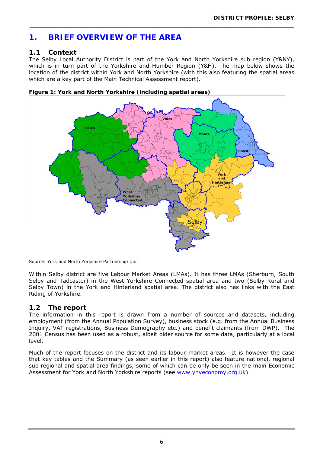# **1. BRIEF OVERVIEW OF THE AREA**

# **1.1 Context**

The Selby Local Authority District is part of the York and North Yorkshire sub region (Y&NY), which is in turn part of the Yorkshire and Humber Region (Y&H). The map below shows the location of the district within York and North Yorkshire (with this also featuring the spatial areas which are a key part of the Main Technical Assessment report).

\_\_\_\_\_\_\_\_\_\_\_\_\_\_\_\_\_\_\_\_\_\_\_\_\_\_\_\_\_\_\_\_\_\_\_\_\_\_\_\_\_\_\_\_\_\_\_\_\_\_\_\_\_\_\_\_\_\_\_\_\_\_\_\_\_\_\_\_\_\_\_\_\_\_\_\_\_\_\_\_\_\_



**Figure 1: York and North Yorkshire (including spatial areas)** 

Source: York and North Yorkshire Partnership Unit

Within Selby district are five Labour Market Areas (LMAs). It has three LMAs (Sherburn, South Selby and Tadcaster) in the West Yorkshire Connected spatial area and two (Selby Rural and Selby Town) in the York and Hinterland spatial area. The district also has links with the East Riding of Yorkshire.

# **1.2 The report**

The information in this report is drawn from a number of sources and datasets, including employment (from the Annual Population Survey), business stock (e.g. from the Annual Business Inquiry, VAT registrations, Business Demography etc.) and benefit claimants (from DWP). The 2001 Census has been used as a robust, albeit older source for some data, particularly at a local level.

Much of the report focuses on the district and its labour market areas. It is however the case that key tables and the Summary (as seen earlier in this report) also feature national, regional sub regional and spatial area findings, some of which can be only be seen in the main Economic Assessment for York and North Yorkshire reports (see www.ynyeconomy.org.uk).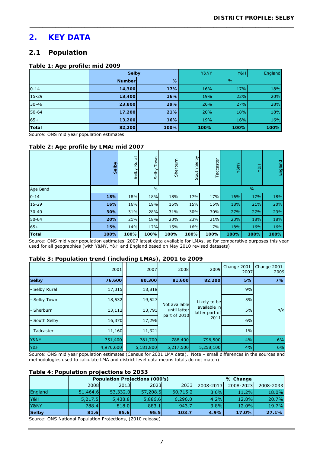# **2. KEY DATA**

# **2.1 Population**

#### **Table 1: Age profile: mid 2009**

|              | Selby         |      | Y&NY | Y&H           | England |
|--------------|---------------|------|------|---------------|---------|
|              | <b>Number</b> | %    |      | $\frac{0}{0}$ |         |
| $0 - 14$     | 14,300        | 17%  | 16%  | 17%           | 18%     |
| 15-29        | 13,400        | 16%  | 19%  | 22%           | 20%     |
| $30 - 49$    | 23,800        | 29%  | 26%  | 27%           | 28%     |
| $50 - 64$    | 17,200        | 21%  | 20%  | 18%           | 18%     |
| $65+$        | 13,200        | 16%  | 19%  | 16%           | 16%     |
| <b>Total</b> | 82,200        | 100% | 100% | 100%          | 100%    |

\_\_\_\_\_\_\_\_\_\_\_\_\_\_\_\_\_\_\_\_\_\_\_\_\_\_\_\_\_\_\_\_\_\_\_\_\_\_\_\_\_\_\_\_\_\_\_\_\_\_\_\_\_\_\_\_\_\_\_\_\_\_\_\_\_\_\_\_\_\_\_\_\_\_\_\_\_\_\_\_\_\_

Source: ONS mid year population estimates

#### **Table 2: Age profile by LMA: mid 2007**

|              | <b>Sel</b> | Rural<br>Selby | Town<br>Selby | Sherburn | Selby<br>South | Tadcaster | <b>Y8NY</b> | Y8H           | England |  |
|--------------|------------|----------------|---------------|----------|----------------|-----------|-------------|---------------|---------|--|
| Age Band     |            |                | $\frac{0}{0}$ |          |                |           |             | $\frac{0}{0}$ |         |  |
| $0 - 14$     | 18%        | 18%            | 18%           | 18%      | 17%            | 17%       | 16%         | 17%           | 18%     |  |
| 15-29        | 16%        | 16%            | 19%           | 16%      | 15%            | 15%       | 18%         | 21%           | 20%     |  |
| $30 - 49$    | 30%        | 31%            | 28%           | 31%      | 30%            | 30%       | 27%         | 27%           | 29%     |  |
| 50-64        | 20%        | 21%            | 18%           | 20%      | 23%            | 21%       | 20%         | 18%           | 18%     |  |
| $65+$        | 15%        | 14%            | 17%           | 15%      | 16%            | 17%       | 18%         | 16%           | 16%     |  |
| <b>Total</b> | 100%       | 100%           | 100%          | 100%     | 100%           | 100%      | 100%        | 100%          | 100%    |  |

Source: ONS mid year population estimates. 2007 latest data available for LMAs, so for comparative purposes this year used for all geographies (with Y&NY, Y&H and England based on May 2010 revised datasets)

#### **Table 3: Population trend (including LMAs), 2001 to 2009**

|               | 2001      | 2007      | 2008          | 2009                                                   | 2007  | Change 2001- Change 2001-<br>2009 |    |
|---------------|-----------|-----------|---------------|--------------------------------------------------------|-------|-----------------------------------|----|
| <b>Selby</b>  | 76,600    | 80,300    | 81,600        | 82,200                                                 | 5%    | 7%                                |    |
| - Selby Rural | 17,315    | 18,818    |               | Likely to be<br>available in<br>latter part of<br>2011 |       |                                   | 9% |
| - Selby Town  | 18,532    | 19,527    | Not available |                                                        | 5%    |                                   |    |
| - Sherburn    | 13,112    | 13,791    | until latter  |                                                        | 5%    | n/a                               |    |
| - South Selby | 16,370    | 17,296    | part of 2010  |                                                        | 6%    |                                   |    |
| - Tadcaster   | 11,160    | 11,321    |               |                                                        | $1\%$ |                                   |    |
| Y&NY          | 751,400   | 781,700   | 788,400       | 796,500                                                | 4%    | 6%                                |    |
| Y&H           | 4,976,600 | 5,181,800 | 5,217,500     | 5,258,100                                              | 4%    | 6%                                |    |

Source: ONS mid year population estimates (Census for 2001 LMA data). Note – small differences in the sources and methodologies used to calculate LMA and district level data means totals do not match)

#### **Table 4: Population projections to 2033**

|                                       |          |          | <b>Population Projections (000's)</b> |          |           | % Change  |           |
|---------------------------------------|----------|----------|---------------------------------------|----------|-----------|-----------|-----------|
|                                       | 2008     | 2013     | 2023 <b>1</b>                         | 2033     | 2008-2013 | 2008-2023 | 2008-2033 |
| England                               | 51,464.6 | 53,332.0 | 57,208.5                              | 60,715.2 | $3.6\%$   | 11.2%     | 18.0%     |
| Y&H                                   | 5,217.5  | 5,438.8  | 5,886.6                               | 6,296.0  | 4.2%      | 12.8%     | 20.7%     |
| Y&NY                                  | 788.4    | 818.0    | 883.1                                 | 943.7    | $3.8\%$   | 12.0%     | 19.7%     |
| <b>Selby</b>                          | 81.6     | 85.6     | 95.5                                  | 103.7    | 4.9%      | 17.0%     | 27.1%     |
| $\sim$<br>$\sim$ $\sim$ $\sim$ $\sim$ | $\sim$   | .        | $\sim$ $\sim$ $\sim$                  |          |           |           |           |

Source: ONS National Population Projections, (2010 release)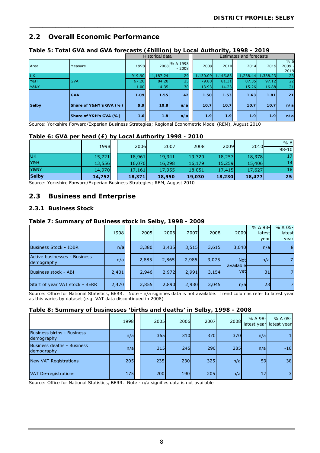# **2.2 Overall Economic Performance**

|              |                         |        | Historical data |                   | <b>Estimates and forecasts</b> |          |          |          |                              |  |
|--------------|-------------------------|--------|-----------------|-------------------|--------------------------------|----------|----------|----------|------------------------------|--|
| Area         | <b>Measure</b>          | 1998   | 2008            | %∆1998<br>$-2008$ | 2009                           | 2010     | 2014     | 2019     | $%$ $\Delta$<br>2009<br>2019 |  |
| <b>UK</b>    |                         | 919.90 | 1,187.24        | 29                | 1,130.09                       | 1,145.83 | 1,238.44 | 1,388.23 | 23                           |  |
| Y&H          | <b>GVA</b>              | 67.20  | 84.20           | 25                | 79.88                          | 81.31    | 87.35    | 97.12    | 22                           |  |
| Y&NY         |                         | 11.00  | 14.35           | 30                | 13.93                          | 14.23    | 15.26    | 16.88    | 21                           |  |
|              | <b>GVA</b>              | 1.09   | 1.55            | 42                | 1.50                           | 1.53     | 1.63     | 1.81     | 21                           |  |
| <b>Selby</b> | Share of Y&NY's GVA (%) | 9.9    | 10.8            | n/a               | 10.7                           | 10.7     | 10.7     | 10.7     | n/a                          |  |
|              | Share of Y&H's GVA (%)  | 1.6    | 1.8             | n/a               | 1.9                            | 1.9      | 1.9      | 1.9      | n/a                          |  |

\_\_\_\_\_\_\_\_\_\_\_\_\_\_\_\_\_\_\_\_\_\_\_\_\_\_\_\_\_\_\_\_\_\_\_\_\_\_\_\_\_\_\_\_\_\_\_\_\_\_\_\_\_\_\_\_\_\_\_\_\_\_\_\_\_\_\_\_\_\_\_\_\_\_\_\_\_\_\_\_\_\_

### **Table 5: Total GVA and GVA forecasts (£billion) by Local Authority, 1998 - 2019**

Source: Yorkshire Forward/Experian Business Strategies; Regional Econometric Model (REM), August 2010

#### **Table 6: GVA per head (£) by Local Authority 1998 - 2010**

|              | 1998   | 2006   | 2007   | 2008   | 2009   | 2010   | $%$ $\Delta$ |
|--------------|--------|--------|--------|--------|--------|--------|--------------|
|              |        |        |        |        |        |        | $98 - 10$    |
| <b>UK</b>    | 15,721 | 18,961 | 19,341 | 19,320 | 18,257 | 18,378 | 17           |
| Y&H          | 13,556 | 16,070 | 16,298 | 16,179 | 15,259 | 15,406 | 14           |
| Y&NY         | 14,970 | 17,161 | 17,955 | 18,051 | 17,415 | 17,627 | 18           |
| <b>Selby</b> | 14,752 | 18,371 | 18,950 | 19,030 | 18,230 | 18,477 | 25           |

Source: Yorkshire Forward/Experian Business Strategies; REM, August 2010

### **2.3 Business and Enterprise**

#### **2.3.1 Business Stock**

#### **Table 7: Summary of Business stock in Selby, 1998 - 2009**

|                                            | 1998  | 2005  | 2006  | 2007  | 2008  | 2009                    | %∆98-<br>latest<br>year | % ∆ 05-<br>latest<br>year |
|--------------------------------------------|-------|-------|-------|-------|-------|-------------------------|-------------------------|---------------------------|
| <b>Business Stock - IDBR</b>               | n/a   | 3,380 | 3,435 | 3,515 | 3,615 | 3,640                   | n/a                     | 8                         |
| Active businesses - Business<br>demography | n/a   | 2,885 | 2,865 | 2,985 | 3,075 | <b>Not</b><br>available | n/a                     |                           |
| Business stock - ABI                       | 2,401 | 2,946 | 2,972 | 2,991 | 3,154 | <b>vet</b>              | 31                      |                           |
| Start of year VAT stock - BERR             | 2,470 | 2,855 | 2,890 | 2,930 | 3,045 | n/a                     | 23I                     |                           |

Source: Office for National Statistics, BERR. Note - n/a signifies data is not available. Trend columns refer to latest year as this varies by dataset (e.g. VAT data discontinued in 2008)

#### **Table 8: Summary of businesses 'births and deaths' in Selby, 1998 - 2008**

|                                          | 1998 | 2005 | 2006 | 2007 | 2008 | $%$ $\Delta$ 98-<br>latest year | $%$ $\Delta$ 05-<br>latest year |
|------------------------------------------|------|------|------|------|------|---------------------------------|---------------------------------|
| Business births - Business<br>demography | n/a  | 365  | 310  | 370  | 370  | n/a                             |                                 |
| Business deaths - Business<br>demography | n/a  | 315  | 245  | 290  | 285  | n/a                             | $-10$                           |
| <b>New VAT Registrations</b>             | 205  | 235  | 230  | 325  | n/a  | 59                              | 38                              |
| VAT De-registrations                     | 175  | 200  | 190  | 205  | n/a  | 17                              | $\overline{3}$                  |

Source: Office for National Statistics, BERR. Note - n/a signifies data is not available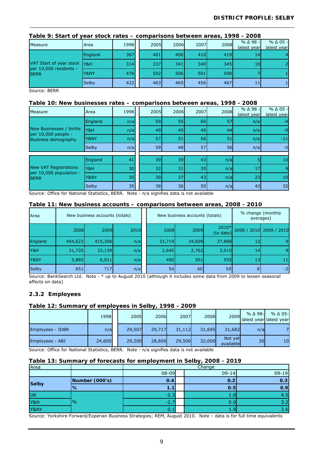|                                       | Taple 9: Start of year stock rates – comparisons between areas, 1998 - 2008 |      |  |      |      |      |      |                      |                      |  |  |  |
|---------------------------------------|-----------------------------------------------------------------------------|------|--|------|------|------|------|----------------------|----------------------|--|--|--|
| Measure                               | Area                                                                        | 1998 |  | 2005 | 2006 | 2007 | 2008 | $%$ $\triangle$ 98 - | $%$ $\triangle$ 05 - |  |  |  |
|                                       |                                                                             |      |  |      |      |      |      | latest year          | latest year          |  |  |  |
| VAT Start of year stock Y&H           | England                                                                     | 367  |  | 401  | 406  | 410  | 419  | 14                   | 4                    |  |  |  |
|                                       |                                                                             | 314  |  | 337  | 341  | 340  | 345  | 10                   | 2                    |  |  |  |
| per 10,000 residents -<br><b>BERR</b> | Y&NY                                                                        | 476  |  | 502  | 506  | 501  | 508  |                      |                      |  |  |  |
|                                       | Selby                                                                       | 422  |  | 463  | 465  | 456  | 467  | 11                   | 1                    |  |  |  |

# **Table 9: Start of year stock rates – comparisons between areas, 1998 - 2008**

Source: BERR

#### **Table 10: New businesses rates – comparisons between areas, 1998 - 2008**

| Measure                                                                      | Area         | 1998 | 2005 | 2006            | 2007 | 2008 | %∆98-<br>latest year | $%$ $\triangle$ 05 -<br>latest year |
|------------------------------------------------------------------------------|--------------|------|------|-----------------|------|------|----------------------|-------------------------------------|
|                                                                              | England      | n/a  | 59   | 55              | 60   | 57   | n/a                  | $-4$                                |
| New Businesses / births<br>per 10,000 people -<br><b>Business demography</b> | Y&H          | n/a  | 49   | 45              | 49   | 44   | n/a                  | $-9$                                |
|                                                                              | Y&NY         | n/a  | 57   | 51              | 56   | 51   | n/a                  | $-11$                               |
|                                                                              | <b>Selby</b> | n/a  | 59   | 48              | 57   | 56   | n/a                  | $-5$                                |
|                                                                              |              |      |      |                 |      |      |                      |                                     |
|                                                                              | England      | 41   | 39   | 39              | 43   | n/a  |                      | 10                                  |
| <b>New VAT Registrations</b>                                                 | Y&H          | 30   | 32   | 31              | 35   | n/a  | 17                   |                                     |
| per 10,000 population -<br><b>BERR</b>                                       | Y&NY         | 35   | 39   | 37              | 43   | n/a  | 23                   | 10                                  |
|                                                                              | Selby        | 35   | 38   | 36 <sup>1</sup> | 50   | n/a  | 43                   | 32                                  |

Source: Office for National Statistics, BERR. Note - n/a signifies data is not available

#### **Table 11: New business accounts – comparisons between areas, 2008 - 2010**

| <b>Area</b>  |             | New business accounts (totals) |      |        | New business accounts (totals) |                    |                 | % change (monthly<br>averages) |
|--------------|-------------|--------------------------------|------|--------|--------------------------------|--------------------|-----------------|--------------------------------|
|              | <b>2008</b> | 2009                           | 2010 | 2008   | 2009                           | 2010*<br>(to date) |                 | 2008 / 2010 2009 / 2010        |
| England      | 404,623     | 415,306                        | n/a  | 33,719 | 34,609                         | 37,888             | 12              | 9                              |
| Y&H          | 31,735      | 33,139                         | n/a  | 2,645  | 2,762                          | 3,015              | 14 <sub>1</sub> | 9                              |
| Y&NY         | 5,885       | 6,011                          | n/a  | 490    | 501                            | 555                | 13 <sup>1</sup> | 11                             |
| <b>Selby</b> | 651         | 717                            | n/a  | 54     | 60                             | 59                 | 8               | $-2$                           |

Source: BankSearch Ltd. Note - \* up to August 2010 (although it includes some data from 2009 to lessen seasonal affects on data)

#### **2.3.2 Employees**

#### **Table 12: Summary of employees in Selby, 1998 - 2009**

|                  | 1998   | 2005   | 2006   | 2007   | 2008   |                      | $%$ $\triangle$ 98-<br>$2009$ atest year latest year | $%$ $\triangle$ 05- |
|------------------|--------|--------|--------|--------|--------|----------------------|------------------------------------------------------|---------------------|
| Employees - IDBR | n/a    | 29,507 | 29,717 | 31,112 | 31,695 | 31,682               | n/a                                                  |                     |
| Employees - ABI  | 24,600 | 29,200 | 28,600 | 29,500 | 32,000 | Not yet<br>available | 30l                                                  | 10                  |

Source: Office for National Statistics, BERR. Note - n/a signifies data is not available

#### **Table 13: Summary of forecasts for employment in Selby, 2008 - 2019**

| Area         |                | Change           |           |           |  |  |  |  |  |  |  |
|--------------|----------------|------------------|-----------|-----------|--|--|--|--|--|--|--|
|              |                | $08 - 09$        | $09 - 14$ | $09 - 19$ |  |  |  |  |  |  |  |
| <b>Selby</b> | Number (000's) | 0.4              | 0.2       | 0.3       |  |  |  |  |  |  |  |
|              | <u>%</u>       | 1.1              | 0.5       | 0.9       |  |  |  |  |  |  |  |
| <b>UK</b>    |                | $-2.3$           | 1.8       | 4.5       |  |  |  |  |  |  |  |
| Y&H          | $\frac{9}{6}$  | $-2.7$           | 0.9       | 3.2       |  |  |  |  |  |  |  |
| Y&NY         |                | $\overline{0.1}$ | 1.9       | 3.6       |  |  |  |  |  |  |  |

Source: Yorkshire Forward/Experian Business Strategies; REM, August 2010. Note – data is for full time equivalents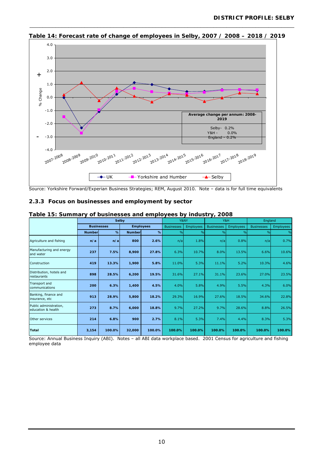

**Table 14: Forecast rate of change of employees in Selby, 2007 / 2008 – 2018 / 2019**

Source: Yorkshire Forward/Experian Business Strategies; REM, August 2010. Note – data is for full time equivalents

#### **2.3.3 Focus on businesses and employment by sector**

|                                              |               |                   | <b>Selby</b>  |                  |               | Y&NY             |                   | Y&H              | England           |                  |  |
|----------------------------------------------|---------------|-------------------|---------------|------------------|---------------|------------------|-------------------|------------------|-------------------|------------------|--|
|                                              |               | <b>Businesses</b> |               | <b>Employees</b> |               | <b>Employees</b> | <b>Businesses</b> | <b>Employees</b> | <b>Businesses</b> | <b>Employees</b> |  |
|                                              | <b>Number</b> | $\%$              | <b>Number</b> | %                | $\frac{1}{2}$ | $\frac{0}{0}$    | $\frac{0}{0}$     | $\frac{0}{0}$    | $\frac{9}{6}$     | $\frac{0}{0}$    |  |
| Agriculture and fishing                      | n/a           | n/a               | 800           | 2.6%             | n/a           | 1.8%             | n/a               | 0.8%             | n/a               | 0.7%             |  |
| Manufacturing and energy<br>and water        | 237           | 7.5%              | 8,900         | 27.8%            | 6.3%          | 10.7%            | 8.0%              | 13.5%            | 6.6%              | 10.6%            |  |
| Construction                                 | 419           | 13.3%             | 1,900         | 5.8%             | 11.0%         | 5.3%             | 11.1%             | 5.2%             | 10.3%             | 4.6%             |  |
| Distribution, hotels and<br>restaurants      | 898           | 28.5%             | 6,200         | 19.5%            | 31.6%         | 27.1%            | 31.1%             | 23.6%            | 27.0%             | 23.5%            |  |
| <b>Transport and</b><br>communications       | 200           | 6.3%              | 1,400         | 4.5%             | 4.0%          | 5.8%             | 4.9%              | 5.5%             | 4.3%              | 6.0%             |  |
| Banking, finance and<br>insurance, etc       | 913           | 28.9%             | 5,800         | 18.2%            | 29.3%         | 16.9%            | 27.6%             | 18.5%            | 34.6%             | 22.8%            |  |
| Public administration,<br>education & health | 273           | 8.7%              | 6,000         | 18.8%            | 9.7%          | 27.2%            | 9.7%              | 28.6%            | 8.8%              | 26.5%            |  |
| Other services                               | 214           | 6.8%              | 900           | 2.7%             | 8.1%          | 5.3%             | 7.4%              | 4.4%             | 8.3%              | 5.3%             |  |
| <b>Total</b>                                 | 3,154         | 100.0%            | 32,000        | 100.0%           | 100.0%        | 100.0%           | 100.0%            | 100.0%           | 100.0%            | 100.0%           |  |

**Table 15: Summary of businesses and employees by industry, 2008** 

Source: Annual Business Inquiry (ABI). Notes – all ABI data workplace based. 2001 Census for agriculture and fishing employee data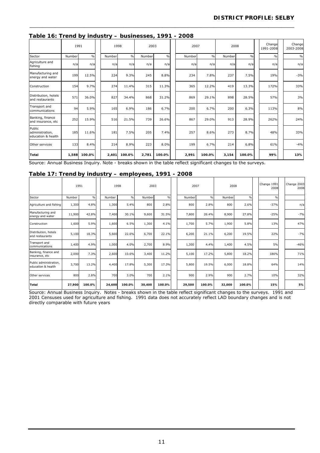|  | Table 16: Trend by industry - businesses, 1991 - 2008 |  |
|--|-------------------------------------------------------|--|
|  |                                                       |  |

|                                                 | 1991   |               |        | 1998          |        | 2003          |  | 2007   |               | 2008   |               | Change<br>1991-2008 | Change<br>2003-2008 |
|-------------------------------------------------|--------|---------------|--------|---------------|--------|---------------|--|--------|---------------|--------|---------------|---------------------|---------------------|
| Sector                                          | Number | $\frac{0}{0}$ | Number | $\frac{0}{0}$ | Number | $\frac{0}{0}$ |  | Number | $\frac{0}{0}$ | Number | $\frac{0}{0}$ | $\frac{0}{0}$       | $\frac{0}{0}$       |
| Agriculture and<br>fishing                      | n/a    | n/a           | n/a    | n/a           | n/a    | n/a           |  | n/a    | n/a           | n/a    | n/a           | n/a                 | n/a                 |
| Manufacturing and<br>energy and water           | 199    | 12.5%         | 224    | 9.3%          | 245    | 8.8%          |  | 234    | 7.8%          | 237    | 7.5%          | 19%                 | $-3%$               |
| Construction                                    | 154    | 9.7%          | 274    | 11.4%         | 315    | 11.3%         |  | 365    | 12.2%         | 419    | 13.3%         | 172%                | 33%                 |
| Distribution, hotels<br>and restaurants         | 571    | 36.0%         | 827    | 34.4%         | 868    | 31.2%         |  | 869    | 29.1%         | 898    | 28.5%         | 57%                 | 3%                  |
| Transport and<br>communications                 | 94     | 5.9%          | 165    | 6.9%          | 186    | 6.7%          |  | 200    | 6.7%          | 200    | 6.3%          | 113%                | 8%                  |
| Banking, finance<br>and insurance, etc          | 252    | 15.9%         | 516    | 21.5%         | 739    | 26.6%         |  | 867    | 29.0%         | 913    | 28.9%         | 262%                | 24%                 |
| Public<br>administration,<br>education & health | 185    | 11.6%         | 181    | 7.5%          | 205    | 7.4%          |  | 257    | 8.6%          | 273    | 8.7%          | 48%                 | 33%                 |
| Other services                                  | 133    | 8.4%          | 214    | 8.9%          | 223    | 8.0%          |  | 199    | 6.7%          | 214    | 6.8%          | 61%                 | $-4%$               |
| Total                                           | 1,588  | 100.0%        | 2,401  | 100.0%        | 2,781  | 100.0%        |  | 2,991  | 100.0%        | 3,154  | 100.0%        | 99%                 | 13%                 |

Source: Annual Business Inquiry. Note - breaks shown in the table reflect significant changes to the surveys.

#### **Table 17: Trend by industry – employees, 1991 - 2008**

|                                              | 1991   |               |        | 1998   | 2003   |               | 2007   |               | 2008   |               | Change 1991<br>2008 | Change 2003<br>2008 |
|----------------------------------------------|--------|---------------|--------|--------|--------|---------------|--------|---------------|--------|---------------|---------------------|---------------------|
| Sector                                       | Number | $\frac{0}{0}$ | Number | $\%$   | Number | $\frac{0}{0}$ | Number | $\frac{0}{0}$ | Number | $\frac{0}{0}$ | $\frac{0}{0}$       |                     |
| Agriculture and fishing                      | 1,300  | 4.8%          | 1,300  | 5.4%   | 800    | 2.8%          | 800    | 2.8%          | 800    | 2.6%          | $-37%$              | n/a                 |
| Manufacturing and<br>energy and water        | 11,900 | 42.8%         | 7,400  | 30.1%  | 9,600  | 31.5%         | 7,800  | 26.4%         | 8,900  | 27.8%         | $-25%$              | $-7%$               |
| Construction                                 | 1,600  | 5.9%          | 1,600  | 6.5%   | 1,300  | 4.1%          | 1,700  | 5.7%          | 1,900  | 5.8%          | 13%                 | 47%                 |
| Distribution, hotels<br>and restaurants      | 5,100  | 18.3%         | 5,600  | 22.6%  | 6,700  | 22.1%         | 6,200  | 21.1%         | 6,200  | 19.5%         | 22%                 | $-7%$               |
| Transport and<br>communications              | 1,400  | 4.9%          | 1,000  | 4.0%   | 2,700  | 8.9%          | 1,300  | 4.4%          | 1,400  | 4.5%          | 5%                  | $-46%$              |
| Banking, finance and<br>insurance, etc       | 2,000  | 7.3%          | 2,600  | 10.6%  | 3,400  | 11.2%         | 5,100  | 17.2%         | 5,800  | 18.2%         | 186%                | 71%                 |
| Public administration,<br>education & health | 3,700  | 13.2%         | 4,400  | 17.8%  | 5,300  | 17.3%         | 5,800  | 19.5%         | 6,000  | 18.8%         | 64%                 | 14%                 |
| Other services                               | 800    | 2.8%          | 700    | 3.0%   | 700    | 2.1%          | 900    | 2.9%          | 900    | 2.7%          | 10%                 | 32%                 |
| Total                                        | 27,900 | 100.0%        | 24,600 | 100.0% | 30,400 | 100.0%        | 29,500 | 100.0%        | 32,000 | 100.0%        | 15%                 | 5%                  |

Source: Annual Business Inquiry. Notes - breaks shown in the table reflect significant changes to the surveys. 1991 and 2001 Censuses used for agriculture and fishing. 1991 data does not accurately reflect LAD boundary changes and is not directly comparable with future years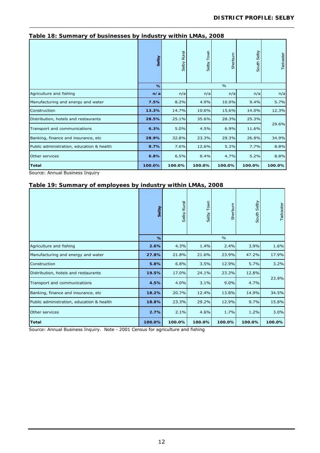| Table To: Sufficiently Of Businesses by Industry Within Livins, 2000 |        |                       |                            |               |                |           |
|----------------------------------------------------------------------|--------|-----------------------|----------------------------|---------------|----------------|-----------|
|                                                                      | Selby  | <b>Rural</b><br>Selby | Town<br>Selby <sup>-</sup> | Sherburn      | Selby<br>South | Tadcaster |
|                                                                      | $\%$   |                       |                            | $\frac{0}{0}$ |                |           |
| Agriculture and fishing                                              | n/a    | n/a                   | n/a                        | n/a           | n/a            | n/a       |
| Manufacturing and energy and water                                   | 7.5%   | 8.2%                  | 4.9%                       | 10.0%         | 9.4%           | 5.7%      |
| Construction                                                         | 13.3%  | 14.7%                 | 10.6%                      | 15.6%         | 14.0%          | 12.3%     |
| Distribution, hotels and restaurants                                 | 28.5%  | 25.1%                 | 35.6%                      | 28.3%         | 25.3%          |           |
| Transport and communications                                         | 6.3%   | 5.0%                  | 4.5%                       | 6.9%          | 11.6%          | 29.6%     |
| Banking, finance and insurance, etc                                  | 28.9%  | 32.8%                 | 23.3%                      | 29.3%         | 26.8%          | 34.9%     |
| Public administration, education & health                            | 8.7%   | 7.6%                  | 12.6%                      | 5.3%          | 7.7%           | 8.8%      |
| Other services                                                       | 6.8%   | 6.5%                  | 8.4%                       | 4.7%          | 5.2%           | 8.8%      |
| Total                                                                | 100.0% | 100.0%                | 100.0%                     | 100.0%        | 100.0%         | 100.0%    |

Source: Annual Business Inquiry

#### **Table 19: Summary of employees by industry within LMAs, 2008**

|                                           | Selby  | Rural<br>Selby | Selby Town | Sherburn      | Selby<br>South | Tadcaster |
|-------------------------------------------|--------|----------------|------------|---------------|----------------|-----------|
|                                           | $\%$   |                |            | $\frac{0}{0}$ |                |           |
| Agriculture and fishing                   | 2.6%   | 4.3%           | 1.4%       | 2.4%          | 3.9%           | 1.6%      |
| Manufacturing and energy and water        | 27.8%  | 21.8%          | 21.6%      | 23.9%         | 47.2%          | 17.9%     |
| Construction                              | 5.8%   | 6.8%           | 3.5%       | 12.9%         | 5.7%           | 3.2%      |
| Distribution, hotels and restaurants      | 19.5%  | 17.0%          | 24.1%      | 23.3%         | 12.8%          |           |
| Transport and communications              | 4.5%   | 4.0%           | 3.1%       | 9.0%          | 4.7%           | 23.9%     |
| Banking, finance and insurance, etc       | 18.2%  | 20.7%          | 12.4%      | 13.8%         | 14.9%          | 34.5%     |
| Public administration, education & health | 18.8%  | 23.3%          | 29.2%      | 12.9%         | 9.7%           | 15.8%     |
| Other services                            | 2.7%   | 2.1%           | 4.6%       | 1.7%          | 1.2%           | 3.0%      |
| <b>Total</b>                              | 100.0% | 100.0%         | 100.0%     | 100.0%        | 100.0%         | 100.0%    |

Source: Annual Business Inquiry. Note - 2001 Census for agriculture and fishing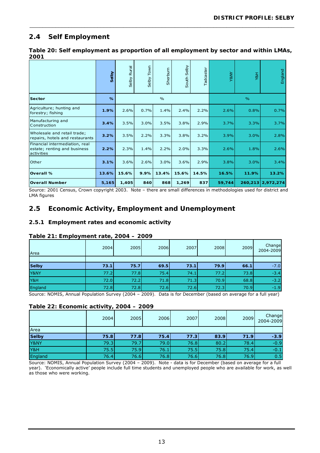# **2.4 Self Employment**

| Table 20: Self employment as proportion of all employment by sector and within LMAs, |  |
|--------------------------------------------------------------------------------------|--|
| 2001                                                                                 |  |

\_\_\_\_\_\_\_\_\_\_\_\_\_\_\_\_\_\_\_\_\_\_\_\_\_\_\_\_\_\_\_\_\_\_\_\_\_\_\_\_\_\_\_\_\_\_\_\_\_\_\_\_\_\_\_\_\_\_\_\_\_\_\_\_\_\_\_\_\_\_\_\_\_\_\_\_\_\_\_\_\_\_

|                                                                              | Selby | <b>Rural</b><br>Selby | Town<br>Selby | Sherburn      | Selby<br>South | Tadcaster | Y&NY   | Y&H           | England   |
|------------------------------------------------------------------------------|-------|-----------------------|---------------|---------------|----------------|-----------|--------|---------------|-----------|
| <b>Sector</b>                                                                | %     |                       |               | $\frac{0}{0}$ |                |           |        | $\frac{9}{6}$ |           |
| Agriculture; hunting and<br>forestry; fishing                                | 1.9%  | 2.6%                  | 0.7%          | 1.4%          | 2.4%           | 2.2%      | 2.6%   | 0.8%          | 0.7%      |
| Manufacturing and<br>Construction                                            | 3.4%  | 3.5%                  | 3.0%          | 3.5%          | 3.8%           | 2.9%      | 3.7%   | 3.3%          | 3.7%      |
| Wholesale and retail trade;<br>repairs, hotels and restaurants               | 3.2%  | 3.5%                  | 2.2%          | 3.3%          | 3.8%           | 3.2%      | 3.9%   | 3.0%          | 2.8%      |
| Financial intermediation, real<br>estate; renting and business<br>activities | 2.2%  | 2.3%                  | 1.4%          | 2.2%          | 2.0%           | 3.3%      | 2.6%   | 1.8%          | 2.6%      |
| Other                                                                        | 3.1%  | 3.6%                  | 2.6%          | 3.0%          | 3.6%           | 2.9%      | 3.8%   | 3.0%          | 3.4%      |
| Overall %                                                                    | 13.6% | 15.6%                 | 9.9%          | 13.4%         | 15.6%          | 14.5%     | 16.5%  | 11.9%         | 13.2%     |
| <b>Overall Number</b>                                                        | 5,165 | 1,405                 | 840           | 868           | 1,269          | 837       | 59,744 | 260,213       | 2,972,274 |

Source: 2001 Census, Crown copyright 2003. Note – there are small differences in methodologies used for district and LMA figures

# **2.5 Economic Activity, Employment and Unemployment**

#### **2.5.1 Employment rates and economic activity**

#### **Table 21: Employment rate, 2004 – 2009**

| Area                 | 2004        | 2005                        | 2006                                      | 2007 | 2008                     | 2009   | Change<br>2004-2009 |
|----------------------|-------------|-----------------------------|-------------------------------------------|------|--------------------------|--------|---------------------|
|                      |             |                             |                                           |      |                          |        |                     |
| <b>Selby</b>         | 73.1        | 75.7                        | 69.5                                      | 73.1 | <b>79.9</b>              | 66.1   | $-7.0$              |
| Y&NY                 | 77.2        | 77.8                        | 75.4                                      | 74.1 | 77.2                     | 73.8   | $-3.4$              |
| Y&H                  | 72.0        | 72.2                        | 71.8                                      | 71.3 | 70.9                     | 68.8   | $-3.2$              |
| England              | 72.8        | 72.8                        | 72.6                                      | 72.6 | 72.3                     | 70.9   | $-1.9$              |
| $\sim$<br><br>$\sim$ | .<br>$\sim$ | $\sim$ $\sim$ $\sim$ $\sim$ | $\sim$ $\sim$ $\sim$ $\sim$ $\sim$ $\sim$ |      | $\overline{\phantom{a}}$ | $\sim$ | $\sim$ $\sim$       |

Source: NOMIS, Annual Population Survey (2004 – 2009). Data is for December (based on average for a full year)

#### **Table 22: Economic activity, 2004 – 2009**

|              | 2004 | 2005 | 2006 | 2007 | 2008 | 2009 | Change<br>2004-2009 |
|--------------|------|------|------|------|------|------|---------------------|
| Area         |      |      |      |      |      |      |                     |
| <b>Selby</b> | 75.8 | 77.8 | 75.4 | 77.3 | 83.9 | 71.9 | $-3.9$              |
| Y&NY         | 79.3 | 79.7 | 79.0 | 76.8 | 80.2 | 78.4 | $-0.9$              |
| Y&H          | 75.5 | 75.9 | 76.1 | 75.5 | 75.8 | 75.4 | $-0.1$              |
| England      | 76.4 | 76.6 | 76.8 | 76.6 | 76.8 | 76.9 | 0.5                 |

Source: NOMIS, Annual Population Survey (2004 – 2009). Note - data is for December (based on average for a full year). 'Economically active' people include full time students and unemployed people who are available for work, as well as those who were working.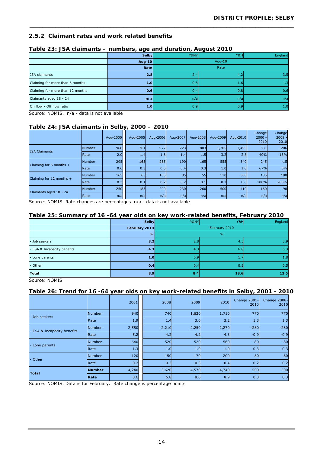#### **2.5.2 Claimant rates and work related benefits**

|                                  | <b>Selby</b> | Y&NY | Y&H       | England |  |  |  |  |
|----------------------------------|--------------|------|-----------|---------|--|--|--|--|
|                                  | Aug-10       |      | Aug- $10$ |         |  |  |  |  |
|                                  | Rate         |      | Rate      |         |  |  |  |  |
| <b>JSA claimants</b>             | 2.8          | 2.4  | 4.2       | 3.5     |  |  |  |  |
| Claiming for more than 6 months  | 1.0          | 0.8  | 1.6       | 1.3     |  |  |  |  |
| Claiming for more than 12 months | 0.6          | 0.4  | 0.8       | 0.6     |  |  |  |  |
| Claimants aged 18 - 24           | n/a          | n/a  | n/a       | n/a     |  |  |  |  |
| On flow - Off flow ratio         | 1.0          | 0.9  | 0.9       | 1.0     |  |  |  |  |

\_\_\_\_\_\_\_\_\_\_\_\_\_\_\_\_\_\_\_\_\_\_\_\_\_\_\_\_\_\_\_\_\_\_\_\_\_\_\_\_\_\_\_\_\_\_\_\_\_\_\_\_\_\_\_\_\_\_\_\_\_\_\_\_\_\_\_\_\_\_\_\_\_\_\_\_\_\_\_\_\_\_

#### **Table 23: JSA claimants – numbers, age and duration, August 2010**

Source: NOMIS. n/a - data is not available

#### **Table 24: JSA claimants in Selby, 2000 – 2010**

|                          |               | Aug-2000 | Aug-2005   | Aug-2006 | Aug-2007 | Aug-2008   | Aug-2009   | Aug-2010 | Change<br>2000<br>2010 | Change<br>$2009 -$<br>2010 |
|--------------------------|---------------|----------|------------|----------|----------|------------|------------|----------|------------------------|----------------------------|
| <b>JSA Claimants</b>     | <b>Number</b> | 968      | 701        | 927      | 723      | 803        | 1,705      | 1,499    | 531                    | $-206$                     |
|                          | <b>I</b> Rate | 2.0      | 1.4        | 1.8      | 1.4      | 1.5        | 3.2        | 2.8      | 40%                    | $-13%$                     |
| Claiming for 6 months +  | <b>Number</b> | 295      | <b>165</b> | 255      | 190      | <b>165</b> | 555        | 540      | 245                    | $-15$                      |
|                          | Rate          | 0.6      | 0.3        | 0.5      | 0.4      | 0.3        | 1.0        | 1.0      | 67%                    | 0%                         |
| Claiming for 12 months + | <b>Number</b> | 165      | 65         | 105      | 85       | 55         | 110        | 300      | 135                    | 190                        |
|                          | <b>I</b> Rate | 0.3      | 0.1        | 0.2      | 0.2      | 0.1        | 0.2        | 0.6      | 100%                   | 200%                       |
| Claimants aged 18 - 24   | <b>Number</b> | 250      | 185        | 290      | 230      | 260        | <b>500</b> | 410      | 160                    | $-90$                      |
|                          | Rate          | n/a      | n/a        | n/a      | n/a      | n/a        | n/a        | n/a      | n/a                    | n/a                        |

Source: NOMIS. Rate changes are percentages. n/a - data is not available

### **Table 25: Summary of 16 -64 year olds on key work-related benefits, February 2010**

|                             | Selby         | Y&NY | Y&H           | England |  |  |  |  |  |
|-----------------------------|---------------|------|---------------|---------|--|--|--|--|--|
|                             | February 2010 |      | February 2010 |         |  |  |  |  |  |
|                             | %             |      | $\frac{9}{6}$ |         |  |  |  |  |  |
| - Job seekers               | 3.2           | 2.8  | 4.5           | 3.9     |  |  |  |  |  |
| - ESA & Incapacity benefits | 4.3           | 4.3  | 6.8           | 6.3     |  |  |  |  |  |
| - Lone parents              | 1.0           | 0.9  | 1.7           | 1.8     |  |  |  |  |  |
| - Other                     | 0.4           | 0.4  | 0.5           | 0.5     |  |  |  |  |  |
| Total                       | 8.9           | 8.4  | 13.6          | 12.5    |  |  |  |  |  |

Source: NOMIS

#### **Table 26: Trend for 16 -64 year olds on key work-related benefits in Selby, 2001 - 2010**

|                           |               | 2001  | 2008  | 2009  | 2010  | Change 2001-<br>2010 | Change 2008-<br>2010 |
|---------------------------|---------------|-------|-------|-------|-------|----------------------|----------------------|
| - Job seekers             | <b>Number</b> | 940   | 740   | 1,620 | 1,710 | 770                  | 770                  |
|                           | Rate          | 1.9   | 1.4   | 3.0   | 3.2   | 1.3                  | 1.3                  |
|                           | Number        | 2,550 | 2,210 | 2,250 | 2,270 | $-280$               | $-280$               |
| ESA & Incapacity benefits | Rate          | 5.2   | 4.2   | 4.2   | 4.3   | $-0.9$               | $-0.9$               |
| Lone parents              | <b>Number</b> | 640   | 520   | 520   | 560   | $-80$                | $-80$                |
|                           | Rate          | 1.3   | 1.0   | 1.0   | 1.0   | $-0.3$               | $-0.3$               |
| - Other                   | <b>Number</b> | 120   | 150   | 170   | 200   | 80                   | 80                   |
|                           | Rate          | 0.2   | 0.3   | 0.3   | 0.4   | 0.2                  | 0.2                  |
| Total                     | <b>Number</b> | 4,240 | 3,620 | 4,570 | 4,740 | 500                  | 500                  |
|                           | Rate          | 8.6   | 6.8   | 8.6   | 8.9   | 0.3                  | 0.3                  |

Source: NOMIS. Data is for February. Rate change is percentage points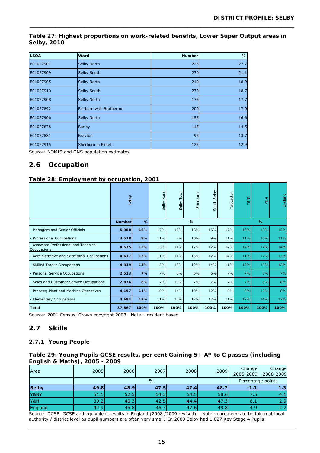#### **Table 27: Highest proportions on work-related benefits, Lower Super Output areas in Selby, 2010**

\_\_\_\_\_\_\_\_\_\_\_\_\_\_\_\_\_\_\_\_\_\_\_\_\_\_\_\_\_\_\_\_\_\_\_\_\_\_\_\_\_\_\_\_\_\_\_\_\_\_\_\_\_\_\_\_\_\_\_\_\_\_\_\_\_\_\_\_\_\_\_\_\_\_\_\_\_\_\_\_\_\_

| <b>LSOA</b> | Ward                     | <b>Number</b> | %    |
|-------------|--------------------------|---------------|------|
| E01027907   | Selby North              | 225           | 27.7 |
| E01027909   | Selby South              | 270           | 21.1 |
| E01027905   | Selby North              | 210           | 18.9 |
| E01027910   | Selby South              | 270           | 18.7 |
| E01027908   | Selby North              | 175           | 17.7 |
| E01027892   | Fairburn with Brotherton | 200           | 17.0 |
| E01027906   | Selby North              | 155           | 16.6 |
| E01027878   | <b>Barlby</b>            | 115           | 14.5 |
| E01027881   | <b>Brayton</b>           | 95            | 13.7 |
| E01027915   | Sherburn in Elmet        | 125           | 12.9 |

Source: NOMIS and ONS population estimates

# **2.6 Occupation**

#### **Table 28: Employment by occupation, 2001**

|                                                     | Selby         |      | <b>Rural</b><br>Selby | Town<br>Selby | Sherburn | Selby<br>South | Tadcaster | Y&NY | Y&H  | England |
|-----------------------------------------------------|---------------|------|-----------------------|---------------|----------|----------------|-----------|------|------|---------|
|                                                     | <b>Number</b> | $\%$ |                       |               | $\%$     |                |           | %    |      |         |
| Managers and Senior Officials                       | 5,988         | 16%  | 17%                   | 12%           | 18%      | 16%            | 17%       | 16%  | 13%  | 15%     |
| Professional Occupations                            | 3,528         | 9%   | 11%                   | 7%            | 10%      | 9%             | 11%       | 11%  | 10%  | 11%     |
| Associate Professional and Technical<br>Occupations | 4,535         | 12%  | 13%                   | 11%           | 12%      | 12%            | 12%       | 14%  | 12%  | 14%     |
| Administrative and Secretarial Occupations          | 4,617         | 12%  | 11%                   | 11%           | 13%      | 12%            | 14%       | 11%  | 12%  | 13%     |
| <b>Skilled Trades Occupations</b>                   | 4,919         | 13%  | 13%                   | 13%           | 12%      | 14%            | 11%       | 13%  | 13%  | 12%     |
| Personal Service Occupations                        | 2,513         | 7%   | 7%                    | 8%            | 6%       | 6%             | 7%        | 7%   | 7%   | 7%      |
| Sales and Customer Service Occupations              | 2,876         | 8%   | 7%                    | 10%           | 7%       | 7%             | 7%        | 7%   | 8%   | 8%      |
| Process; Plant and Machine Operatives               | 4,197         | 11%  | 10%                   | 14%           | 10%      | 12%            | 9%        | 8%   | 10%  | 8%      |
| <b>Elementary Occupations</b>                       | 4,694         | 12%  | 11%                   | 15%           | 12%      | 12%            | 11%       | 12%  | 14%  | 12%     |
| <b>Total</b>                                        | 37,867        | 100% | 100%                  | 100%          | 100%     | 100%           | 100%      | 100% | 100% | 100%    |

Source: 2001 Census, Crown copyright 2003. Note – resident based

## **2.7 Skills**

#### **2.7.1 Young People**

#### **Table 29: Young Pupils GCSE results, per cent Gaining 5+ A\* to C passes (including English & Maths), 2005 - 2009**

| Area    | 2005 | 2006 | 2007 | 2008              | 2009 | Change<br>2005-2009 | Change<br>2008-2009 |
|---------|------|------|------|-------------------|------|---------------------|---------------------|
|         |      |      |      | Percentage points |      |                     |                     |
| Selby   | 49.8 | 48.9 | 47.5 | 47.4              | 48.7 | $-1.1$              | 1.3                 |
| Y&NY    | 51.1 | 52.5 | 54.3 | 54.5              | 58.6 | 7.5                 | 4.1                 |
| Y&H     | 39.2 | 40.3 | 42.5 | 44.4              | 47.3 | 8.1                 | 2.9                 |
| England | 44.9 | 45.8 | 46.7 | 47.6              | 49.8 | 4.9                 | 2.2                 |

Source: DCSF: GCSE and equivalent results in England (2008 /2009 revised). Note - care needs to be taken at local authority / district level as pupil numbers are often very small. In 2009 Selby had 1,027 Key Stage 4 Pupils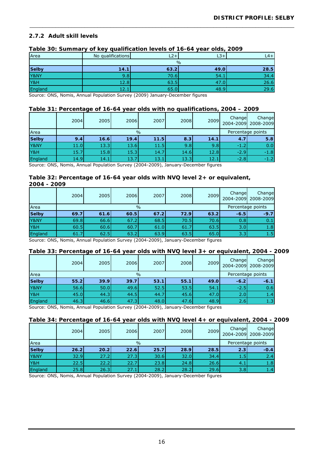#### **2.7.2 Adult skill levels**

| Area         | No qualifications | $-2+7$ | $L3+$         | $L4+$ |
|--------------|-------------------|--------|---------------|-------|
|              |                   |        | $\frac{0}{0}$ |       |
| <b>Selby</b> | 14.1              | 63.2   | 49.0          | 28.5  |
| Y&NY         | 9.8               | 70.6   | 54.1          | 34.4  |
| Y&H          | 12.8              | 63.5   | 47.0          | 26.6  |
| England      | 12.               | 65.0   | 48.9          | 29.6  |

\_\_\_\_\_\_\_\_\_\_\_\_\_\_\_\_\_\_\_\_\_\_\_\_\_\_\_\_\_\_\_\_\_\_\_\_\_\_\_\_\_\_\_\_\_\_\_\_\_\_\_\_\_\_\_\_\_\_\_\_\_\_\_\_\_\_\_\_\_\_\_\_\_\_\_\_\_\_\_\_\_\_

#### **Table 30: Summary of key qualification levels of 16-64 year olds, 2009**

Source: ONS, Nomis, Annual Population Survey (2009) January-December figures

#### **Table 31: Percentage of 16-64 year olds with no qualifications, 2004 – 2009**

|         | 2004 | 2005 | 2006 | 2007          | 2008 | 2009 | Change | Change<br>2004-2009 2008-2009 |
|---------|------|------|------|---------------|------|------|--------|-------------------------------|
| Area    |      |      |      | $\frac{0}{0}$ |      |      |        | Percentage points             |
| Selby   | 9.4  | 16.6 | 19.4 | 11.5          | 8.3  | 14.1 | 4.7    | 5.8                           |
| Y&NY    | 11.0 | 13.3 | 13.6 | 11.5          | 9.8  | 9.8  | 41.2   | 0.0                           |
| Y&H     | 15.7 | 15.8 | 15.3 | 14.7          | 14.6 | 12.8 | $-2.9$ | $-1.8$                        |
| England | 14.9 | 14.1 | 13.7 | 13.1          | 13.3 | 12.1 | $-2.8$ | $-1.2$                        |

Source: ONS, Nomis, Annual Population Survey (2004-2009), January-December figures

#### **Table 32: Percentage of 16-64 year olds with NVQ level 2+ or equivalent, 2004 - 2009**

| 2004 | 2005   | 2006               | 2007                   | 2008                                                                  | 2009                             | Change                       | Change<br>2004-2009 2008-2009 |
|------|--------|--------------------|------------------------|-----------------------------------------------------------------------|----------------------------------|------------------------------|-------------------------------|
|      |        |                    | Percentage points      |                                                                       |                                  |                              |                               |
| 69.7 | 61.6   |                    |                        | 72.9                                                                  | 63.2                             |                              | $-9.7$                        |
| 69.8 |        |                    |                        |                                                                       |                                  | 0.8                          | 0.1                           |
| 60.5 |        |                    |                        | 61.7                                                                  | 63.5                             | 3.0                          | 1.8                           |
| 61.7 | 62.5   |                    |                        | 63.5                                                                  |                                  | 3.3                          | 1.5 <sub>1</sub>              |
|      | $\sim$ | $\sim$<br>$\cdots$ | 66.6<br>60.6<br>$\sim$ | $\frac{0}{0}$<br>67.2<br>60.5<br>68.5<br>67.2<br>60.7<br>61.0<br>63.2 | 63.9<br>(0.001, 0.000)<br>$\sim$ | 70.5<br>$\ddot{\phantom{1}}$ | $-6.5$<br>70.6<br>65.0        |

Source: ONS, Nomis, Annual Population Survey (2004-2009), January-December figures

#### **Table 33: Percentage of 16-64 year olds with NVQ level 3+ or equivalent, 2004 - 2009**

|              | 2004 | 2005 | 2006              | 2007 | 2008 | 2009 | Change | Change<br>2004-2009 2008-2009 |
|--------------|------|------|-------------------|------|------|------|--------|-------------------------------|
| Area         |      |      | Percentage points |      |      |      |        |                               |
| <b>Selby</b> | 55.2 | 39.9 | 39.7              | 53.1 | 55.1 | 49.0 | $-6.2$ | $-6.1$                        |
| Y&NY         | 56.6 | 50.0 | 49.6              | 52.5 | 53.5 | 54.1 | $-2.5$ | 0.6                           |
| Y&H          | 45.0 | 44.3 | 44.5              | 44.7 | 45.6 | 47.0 | 2.0    | 1.4                           |
| England      | 46.3 | 46.6 | 47.3              | 48.0 | 47.6 | 48.9 | 2.6    | 1.3                           |

Source: ONS, Nomis, Annual Population Survey (2004-2009), January-December figures

#### **Table 34: Percentage of 16-64 year olds with NVQ level 4+ or equivalent, 2004 - 2009**

|         | 2004 | 2005  | 2006              | 2007 | 2008 | 2009 | Change<br>2004-2009 | Change<br>2008-2009 |
|---------|------|-------|-------------------|------|------|------|---------------------|---------------------|
| Area    |      |       | Percentage points |      |      |      |                     |                     |
| Selby   | 26.2 | 20.21 | 22.6              | 25.7 | 28.9 | 28.5 | 2.3                 | $-0.4$              |
| Y&NY    | 32.9 | 27.2  | 27.3              | 30.6 | 32.0 | 34.4 | 1.5                 | 2.4                 |
| Y&H     | 22.5 | 22.2  | 22.7              | 23.8 | 24.8 | 26.6 | 4.1                 | 1.8                 |
| England | 25.8 | 26.3  | 27.1              | 28.2 | 28.2 | 29.6 | 3.8                 | 1.4                 |

Source: ONS, Nomis, Annual Population Survey (2004-2009), January-December figures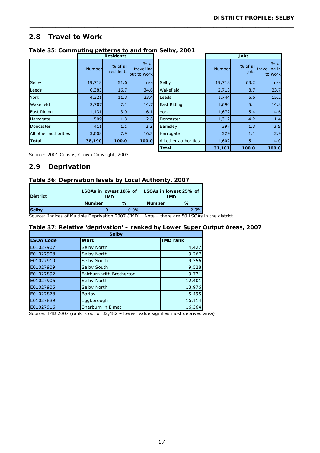# **2.8 Travel to Work**

| Table 35: Commuting patterns to and from Selby, 2001 |  |
|------------------------------------------------------|--|
| <b>Residents</b>                                     |  |

|                       |        | 11631461163           |                                     |                       |        | JUNJ               |                                    |
|-----------------------|--------|-----------------------|-------------------------------------|-----------------------|--------|--------------------|------------------------------------|
|                       | Number | % of all<br>residents | $%$ of<br>travelling<br>out to work |                       | Number | $%$ of all<br>jobs | $%$ of<br>travelling in<br>to work |
| Selby                 | 19,718 | 51.6                  | n/a                                 | Selby                 | 19,718 | 63.2               | n/a                                |
| Leeds                 | 6,385  | 16.7                  | 34.6                                | Wakefield             | 2,713  | 8.7                | 23.7                               |
| York                  | 4,321  | 11.3                  | 23.4                                | Leeds                 | 1,744  | 5.6                | 15.2                               |
| Wakefield             | 2,707  | 7.1                   | 14.7                                | East Riding           | 1,694  | 5.4                | 14.8                               |
| <b>East Riding</b>    | 1,131  | 3.0                   | 6.1                                 | York                  | 1,672  | 5.4                | 14.6                               |
| Harrogate             | 509    | 1.3                   | 2.8                                 | Doncaster             | 1,312  | 4.2                | 11.4                               |
| Doncaster             | 411    | 1.1                   | 2.2                                 | Barnsley              | 397    | 1.3                | 3.5                                |
| All other authorities | 3,008  | 7.9                   | 16.3                                | Harrogate             | 329    | 1.1                | 2.9                                |
| <b>Total</b>          | 38,190 | 100.0                 | 100.0                               | All other authorities | 1,602  | 5.1                | 14.0                               |
|                       |        |                       |                                     |                       |        |                    |                                    |

| <b>Residents</b>      |                                     | .                     |        | <b>Jobs</b>      |                                  |
|-----------------------|-------------------------------------|-----------------------|--------|------------------|----------------------------------|
| % of all<br>residents | $%$ of<br>travelling<br>out to work |                       | Number | % of all<br>jobs | % of<br>travelling in<br>to work |
| 51.6                  | n/a                                 | Selby                 | 19,718 | 63.2             | n/a                              |
| 16.7                  | 34.6                                | Wakefield             | 2,713  | 8.7              | 23.7                             |
| 11.3                  | 23.4                                | Leeds                 | 1,744  | 5.6              | 15.2                             |
| 7.1                   | 14.7                                | East Riding           | 1,694  | 5.4              | 14.8                             |
| 3.0                   | 6.1                                 | York                  | 1,672  | 5.4              | 14.6                             |
| 1.3                   | 2.8                                 | Doncaster             | 1,312  | 4.2              | 11.4                             |
| 1.1                   | 2.2                                 | Barnsley              | 397    | 1.3              | 3.5                              |
| 7.9                   | 16.3                                | Harrogate             | 329    | 1.1              | 2.9                              |
| 100.0                 | 100.0                               | All other authorities | 1,602  | 5.1              | 14.0                             |
|                       |                                     | <b>Total</b>          | 31,181 | 100.0            | 100.0                            |

Source: 2001 Census, Crown Copyright, 2003

# **2.9 Deprivation**

#### **Table 36: Deprivation levels by Local Authority, 2007**

| <b>IDistrict</b> | LSOAs in lowest 10% of<br>I MD |         |               | LSOAs in lowest 25% of<br>I MD |
|------------------|--------------------------------|---------|---------------|--------------------------------|
|                  | <b>Number</b>                  | $\%$    | <b>Number</b> | %                              |
| <b>Selby</b>     |                                | $0.0\%$ |               | 7%                             |
|                  |                                |         |               |                                |

Source: Indices of Multiple Deprivation 2007 (IMD). Note – there are 50 LSOAs in the district

### **Table 37: Relative 'deprivation' – ranked by Lower Super Output Areas, 2007**

\_\_\_\_\_\_\_\_\_\_\_\_\_\_\_\_\_\_\_\_\_\_\_\_\_\_\_\_\_\_\_\_\_\_\_\_\_\_\_\_\_\_\_\_\_\_\_\_\_\_\_\_\_\_\_\_\_\_\_\_\_\_\_\_\_\_\_\_\_\_\_\_\_\_\_\_\_\_\_\_\_\_

| <b>Selby</b>     |                          |                 |  |
|------------------|--------------------------|-----------------|--|
| <b>LSOA Code</b> | <b>Ward</b>              | <b>IMD rank</b> |  |
| E01027907        | Selby North              | 4,427           |  |
| E01027908        | Selby North              | 9,267           |  |
| E01027910        | Selby South              | 9,356           |  |
| E01027909        | Selby South              | 9,528           |  |
| E01027892        | Fairburn with Brotherton | 9,721           |  |
| E01027906        | Selby North              | 12,401          |  |
| E01027905        | Selby North              | 13,976          |  |
| E01027878        | <b>Barlby</b>            | 15,495          |  |
| E01027889        | Eggborough               | 16,114          |  |
| E01027916        | Sherburn in Elmet        | 16,364          |  |

Source: IMD 2007 (rank is out of 32,482 – lowest value signifies most deprived area)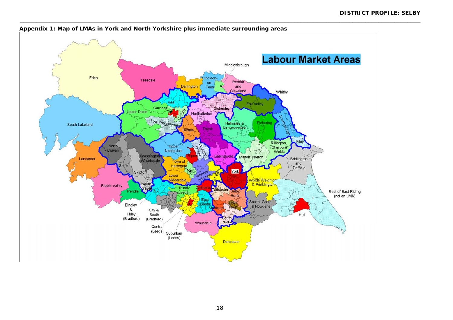

#### **Appendix 1: Map of LMAs in York and North Yorkshire plus immediate surrounding areas**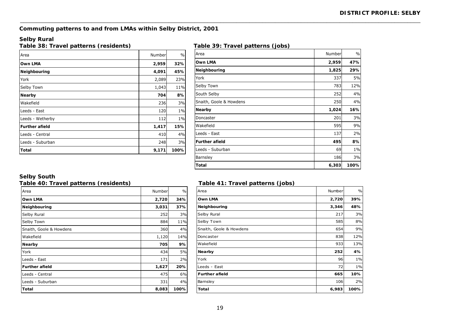# **Commuting patterns to and from LMAs within Selby District, 2001**

#### **Selby Rural**

**Table 38: Travel patterns (residents) Table 39: Travel patterns (jobs)** 

| Area                  | Number | $\frac{0}{0}$ |
|-----------------------|--------|---------------|
| Own LMA               | 2,959  | 32%           |
| Neighbouring          | 4,091  | 45%           |
| York                  | 2,089  | 23%           |
| Selby Town            | 1,043  | 11%           |
| Nearby                | 704    | 8%            |
| Wakefield             | 236    | 3%            |
| Leeds - East          | 120    | $1\%$         |
| Leeds - Wetherby      | 112    | $1\%$         |
| <b>Further afield</b> | 1,417  | 15%           |
| Leeds - Central       | 410    | 4%            |
| Leeds - Suburban      | 248    | 3%            |
| Total                 | 9,171  | 100%          |

| $\frac{1}{2}$           |        |               |
|-------------------------|--------|---------------|
| Area                    | Number | $\frac{0}{0}$ |
| Own LMA                 | 2,959  | 47%           |
| Neighbouring            | 1,825  | 29%           |
| York                    | 337    | 5%            |
| Selby Town              | 783    | 12%           |
| South Selby             | 252    | 4%            |
| Snaith, Goole & Howdens | 250    | 4%            |
| <b>Nearby</b>           | 1,024  | 16%           |
| Doncaster               | 201    | 3%            |
| Wakefield               | 595    | 9%            |
| Leeds - East            | 137    | 2%            |
| <b>Further afield</b>   | 495    | 8%            |
| Leeds - Suburban        | 69     | $1\%$         |
| Barnsley                | 186    | 3%            |
| <b>Total</b>            | 6,303  | 100%          |

#### **Selby South**

### **Table 40: Travel patterns (residents) Table 41: Travel patterns (jobs)**

| Area                    | Number | $\frac{0}{0}$ |
|-------------------------|--------|---------------|
| Own LMA                 | 2,720  | 34%           |
| Neighbouring            | 3,031  | 37%           |
| Selby Rural             | 252    | 3%            |
| Selby Town              | 884    | 11%           |
| Snaith, Goole & Howdens | 360    | 4%            |
| Wakefield               | 1,120  | 14%           |
| Nearby                  | 705    | 9%            |
| York                    | 434    | 5%            |
| Leeds - East            | 171    | 2%            |
| <b>Further afield</b>   | 1,627  | 20%           |
| Leeds - Central         | 475    | 6%            |
| Leeds - Suburban        | 331    | 4%            |
| Total                   | 8,083  | 100%          |

| $\frac{1}{2}$ able $\pm$ i. Travel patterns (jobs) |        |       |
|----------------------------------------------------|--------|-------|
| Area                                               | Number | $\%$  |
| Own LMA                                            | 2,720  | 39%   |
| Neighbouring                                       | 3,346  | 48%   |
| Selby Rural                                        | 217    | 3%    |
| Selby Town                                         | 585    | 8%    |
| Snaith, Goole & Howdens                            | 654    | 9%    |
| Doncaster                                          | 838    | 12%   |
| Wakefield                                          | 933    | 13%   |
| Nearby                                             | 252    | 4%    |
| York                                               | 96     | $1\%$ |
| Leeds - East                                       | 72     | $1\%$ |
| <b>Further afield</b>                              | 665    | 10%   |
| Barnsley                                           | 106    | 2%    |
| Total                                              | 6,983  | 100%  |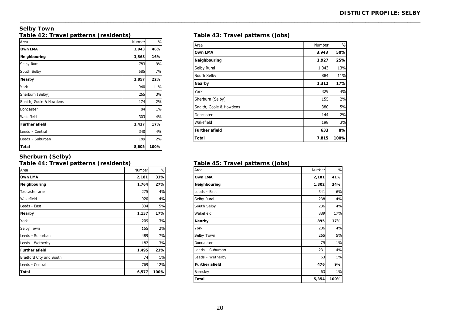#### **Selby Town Table 42: Travel patterns (residents) Table 43: Travel patterns (jobs)**

| Area                    | Number | $\frac{0}{0}$ |
|-------------------------|--------|---------------|
| Own LMA                 | 3,943  | 46%           |
| Neighbouring            | 1,368  | 16%           |
| Selby Rural             | 783    | 9%            |
| South Selby             | 585    | 7%            |
| Nearby                  | 1,857  | 22%           |
| York                    | 940    | 11%           |
| Sherburn (Selby)        | 265    | 3%            |
| Snaith, Goole & Howdens | 174    | 2%            |
| Doncaster               | 84     | $1\%$         |
| Wakefield               | 303    | 4%            |
| <b>Further afield</b>   | 1,437  | 17%           |
| Leeds - Central         | 340    | 4%            |
| Leeds - Suburban        | 189    | 2%            |
| Total                   | 8,605  | 100%          |

| Area                    | Number | $\%$ |
|-------------------------|--------|------|
| Own LMA                 | 3,943  | 50%  |
| Neighbouring            | 1,927  | 25%  |
| Selby Rural             | 1,043  | 13%  |
| South Selby             | 884    | 11%  |
| Nearby                  | 1,312  | 17%  |
| York                    | 329    | 4%   |
| Sherburn (Selby)        | 155    | 2%   |
| Snaith, Goole & Howdens | 380    | 5%   |
| Doncaster               | 144    | 2%   |
| Wakefield               | 198    | 3%   |
| <b>Further afield</b>   | 633    | 8%   |
| Total                   | 7,815  | 100% |

#### **Sherburn (Selby)**

#### **Table 44: Travel patterns (residents) Table 45: Travel patterns (jobs)**

| Area                    | Number | $\frac{0}{0}$ |
|-------------------------|--------|---------------|
| Own LMA                 | 2,181  | 33%           |
| Neighbouring            | 1,764  | 27%           |
| Tadcaster area          | 275    | 4%            |
| Wakefield               | 920    | 14%           |
| Leeds - East            | 334    | 5%            |
| Nearby                  | 1,137  | 17%           |
| York                    | 209    | 3%            |
| Selby Town              | 155    | 2%            |
| Leeds - Suburban        | 489    | 7%            |
| Leeds - Wetherby        | 182    | 3%            |
| <b>Further afield</b>   | 1,495  | 23%           |
| Bradford City and South | 74     | 1%            |
| Leeds - Central         | 769    | 12%           |
| Total                   | 6,577  | 100%          |

| Area                  | Number | $\frac{0}{0}$ |
|-----------------------|--------|---------------|
| Own LMA               | 2,181  | 41%           |
| Neighbouring          | 1,802  | 34%           |
| Leeds - East          | 341    | 6%            |
| Selby Rural           | 238    | 4%            |
| South Selby           | 236    | 4%            |
| Wakefield             | 889    | 17%           |
| Nearby                | 895    | 17%           |
| York                  | 206    | 4%            |
| Selby Town            | 265    | 5%            |
| Doncaster             | 79     | $1\%$         |
| Leeds - Suburban      | 231    | 4%            |
| Leeds - Wetherby      | 63     | $1\%$         |
| <b>Further afield</b> | 476    | 9%            |
| Barnsley              | 63     | $1\%$         |
| <b>Total</b>          | 5,354  | 100%          |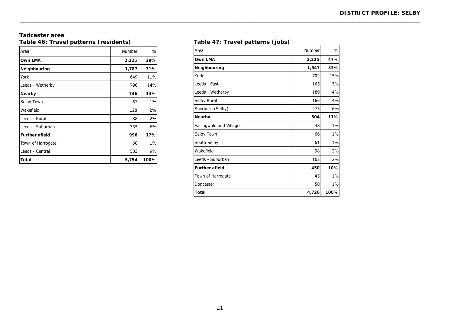#### **Tadcaster area**  Table 46: Travel patterns (residents) **Table 47: Travel patterns (jobs)**

| Area                  | Number | $\frac{0}{0}$ |
|-----------------------|--------|---------------|
| Own LMA               | 2,225  | 39%           |
| Neighbouring          | 1,787  | 31%           |
| York                  | 649    | <b>11%</b>    |
| Leeds - Wetherby      | 796    | <b>14%</b>    |
| Nearby                | 746    | 13%           |
| Selby Town            | 57     | $1\%$         |
| Wakefield             | 128    | 2%            |
| Leeds - Rural         | 88     | 2%            |
| Leeds - Suburban      | 335    | 6%            |
| <b>Further afield</b> | 996    | 17%           |
| Town of Harrogate     | 60     | 1%            |
| Leeds - Central       | 503    | 9%            |
| Total                 | 5,754  | 100%          |

| Area                    | Number | $\frac{0}{0}$ |
|-------------------------|--------|---------------|
| <b>Own LMA</b>          | 2,225  | 47%           |
| Neighbouring            | 1,547  | 33%           |
| York                    | 704    | 15%           |
| Leeds - East            | 165    | 3%            |
| Leeds - Wetherby        | 189    | 4%            |
| Selby Rural             | 166    | 4%            |
| Sherburn (Selby)        | 275    | 6%            |
| Nearby                  | 504    | 11%           |
| Easingwold and Villages | 48     | $1\%$         |
| Selby Town              | 66     | 1%            |
| South Selby             | 61     | 1%            |
| Wakefield               | 98     | 2%            |
| Leeds - Suburban        | 102    | 2%            |
| <b>Further afield</b>   | 450    | 10%           |
| Town of Harrogate       | 45     | 1%            |
| Doncaster               | 50     | $1\%$         |
| <b>Total</b>            | 4,726  | 100%          |